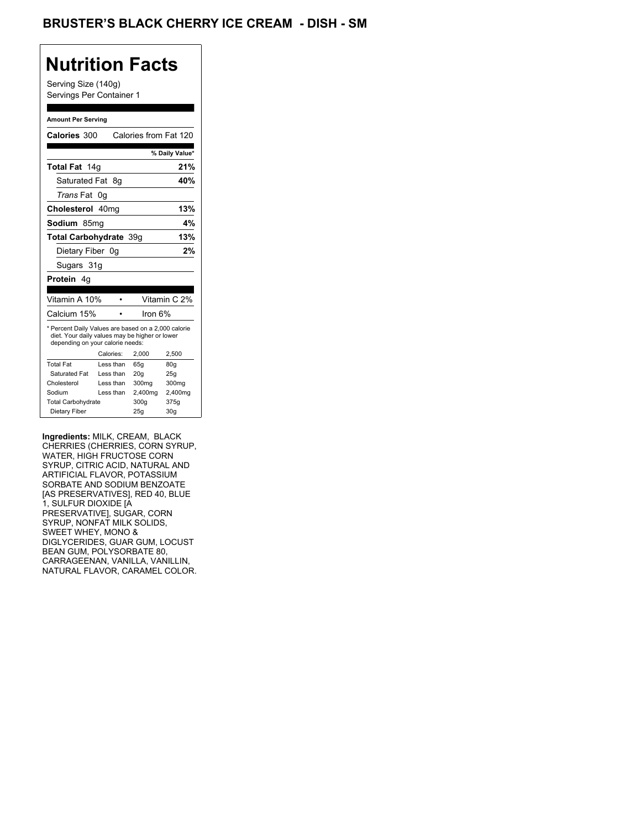## BRUSTER'S BLACK CHERRY ICE CREAM - DISH - SM

## **Nutrition Facts**

Serving Size (140g) Servings Per Container 1

#### **Amount Per Serving**

| Calories 300                                                                                                                              |           | Calories from Fat 120 |                |
|-------------------------------------------------------------------------------------------------------------------------------------------|-----------|-----------------------|----------------|
|                                                                                                                                           |           |                       | % Daily Value* |
| Total Fat 14g                                                                                                                             |           |                       | 21%            |
| Saturated Fat                                                                                                                             | - 8g      |                       | 40%            |
| <i>Trans</i> Fat                                                                                                                          | 0g        |                       |                |
| Cholesterol 40mg                                                                                                                          |           |                       | 13%            |
| Sodium 85mq                                                                                                                               |           |                       | 4%             |
| Total Carbohydrate 39g                                                                                                                    |           |                       | 13%            |
| Dietary Fiber 0g                                                                                                                          |           |                       | 2%             |
| Sugars 31g                                                                                                                                |           |                       |                |
| <b>Protein</b> 4a                                                                                                                         |           |                       |                |
|                                                                                                                                           |           |                       |                |
| Vitamin A 10%                                                                                                                             |           |                       | Vitamin C 2%   |
| Calcium 15%                                                                                                                               |           | lron 6%               |                |
| * Percent Daily Values are based on a 2,000 calorie<br>diet. Your daily values may be higher or lower<br>depending on your calorie needs: |           |                       |                |
|                                                                                                                                           |           |                       |                |
|                                                                                                                                           | Calories: | 2.000                 | 2,500          |
| <b>Total Fat</b>                                                                                                                          | Less than | 65q                   | 80q            |
| Saturated Fat                                                                                                                             | Less than | 20q                   | 25q            |
| Cholesterol                                                                                                                               | Less than | 300mg                 | 300mg          |
| Sodium                                                                                                                                    | Less than | 2,400mg               | 2,400mg        |
| <b>Total Carbohydrate</b>                                                                                                                 |           | 300g                  | 375g           |

**Ingredients:** MILK, CREAM, BLACK CHERRIES (CHERRIES, CORN SYRUP, WATER, HIGH FRUCTOSE CORN SYRUP, CITRIC ACID, NATURAL AND ARTIFICIAL FLAVOR, POTASSIUM SORBATE AND SODIUM BENZOATE [AS PRESERVATIVES], RED 40, BLUE 1, SULFUR DIOXIDE [A PRESERVATIVE], SUGAR, CORN SYRUP, NONFAT MILK SOLIDS, SWEET WHEY, MONO & DIGLYCERIDES, GUAR GUM, LOCUST BEAN GUM, POLYSORBATE 80, CARRAGEENAN, VANILLA, VANILLIN, NATURAL FLAVOR, CARAMEL COLOR.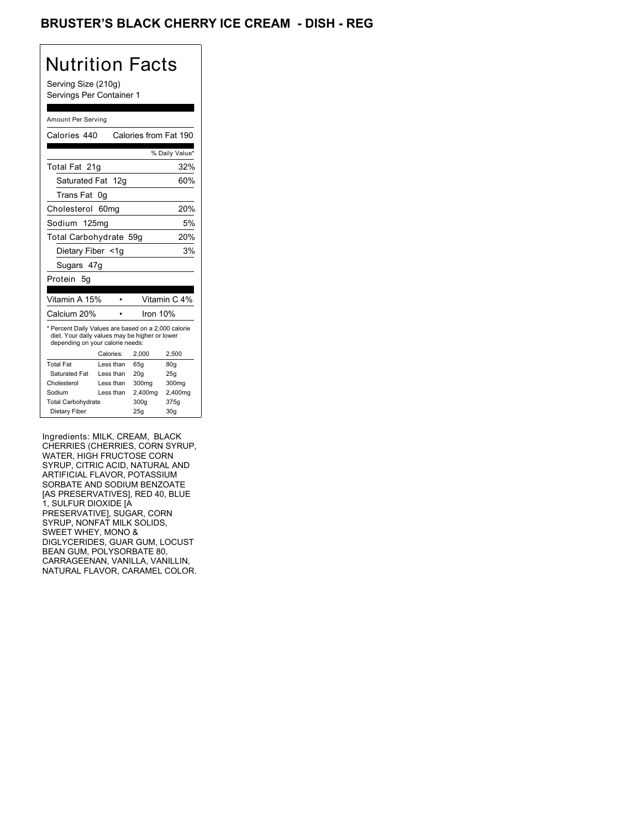## BRUSTER'S BLACK CHERRY ICE CREAM - DISH - REG

## Nutrition Facts

Serving Size (210g) Servings Per Container 1

#### Amount Per Serving

| Calories 440                                                                                                                              |                  | Calories from Fat 190 |                 |
|-------------------------------------------------------------------------------------------------------------------------------------------|------------------|-----------------------|-----------------|
|                                                                                                                                           |                  |                       |                 |
|                                                                                                                                           |                  |                       | % Daily Value*  |
| Total Fat 21g                                                                                                                             |                  |                       | 32%             |
| Saturated Fat 12g                                                                                                                         |                  |                       | 60%             |
| Trans Fat                                                                                                                                 | 0g               |                       |                 |
| Cholesterol                                                                                                                               | 60 <sub>mq</sub> |                       | 20%             |
| Sodium 125mg                                                                                                                              |                  |                       | 5%              |
| Total Carbohydrate 59g                                                                                                                    |                  |                       | 20%             |
| Dietary Fiber <1g                                                                                                                         |                  |                       | 3%              |
| Sugars 47g                                                                                                                                |                  |                       |                 |
| Protein 5q                                                                                                                                |                  |                       |                 |
|                                                                                                                                           |                  |                       |                 |
| Vitamin A 15%                                                                                                                             |                  |                       | Vitamin C 4%    |
| Calcium 20%                                                                                                                               |                  | Iron $10%$            |                 |
| * Percent Daily Values are based on a 2,000 calorie<br>diet. Your daily values may be higher or lower<br>depending on your calorie needs: |                  |                       |                 |
|                                                                                                                                           | Calories:        | 2.000                 | 2,500           |
| <b>Total Fat</b>                                                                                                                          | Less than        | 65q                   | 80 <sub>g</sub> |
| Saturated Fat                                                                                                                             | Less than        | 20 <sub>g</sub>       | 25g             |
| Cholesterol                                                                                                                               | Less than        | 300mg                 | 300mg           |
| Sodium                                                                                                                                    | Less than        | 2,400mg               | 2,400mg         |
| <b>Total Carbohydrate</b>                                                                                                                 |                  | 300g                  | 375g            |
|                                                                                                                                           |                  |                       |                 |

Ingredients: MILK, CREAM, BLACK CHERRIES (CHERRIES, CORN SYRUP, WATER, HIGH FRUCTOSE CORN SYRUP, CITRIC ACID, NATURAL AND ARTIFICIAL FLAVOR, POTASSIUM SORBATE AND SODIUM BENZOATE [AS PRESERVATIVES], RED 40, BLUE 1, SULFUR DIOXIDE [A PRESERVATIVE], SUGAR, CORN SYRUP, NONFAT MILK SOLIDS, SWEET WHEY, MONO & DIGLYCERIDES, GUAR GUM, LOCUST BEAN GUM, POLYSORBATE 80, CARRAGEENAN, VANILLA, VANILLIN, NATURAL FLAVOR, CARAMEL COLOR.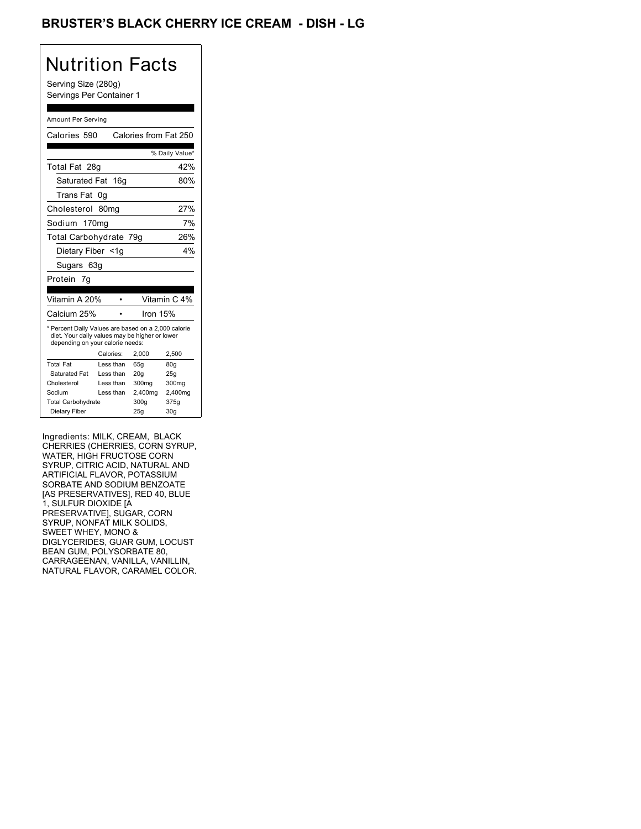## BRUSTER'S BLACK CHERRY ICE CREAM - DISH - LG

# Nutrition Facts

Serving Size (280g) Servings Per Container 1

#### Amount Per Serving

| Calories 590                                                                                                                              |                  | Calories from Fat 250 |                 |
|-------------------------------------------------------------------------------------------------------------------------------------------|------------------|-----------------------|-----------------|
|                                                                                                                                           |                  |                       | % Daily Value*  |
| Total Fat 28g                                                                                                                             |                  |                       | 42%             |
| Saturated Fat 16g                                                                                                                         |                  |                       | 80%             |
| Trans Fat                                                                                                                                 | 0g               |                       |                 |
| Cholesterol                                                                                                                               | 80 <sub>mq</sub> |                       | 27%             |
| Sodium 170mg                                                                                                                              |                  |                       | 7%              |
| Total Carbohydrate 79q                                                                                                                    |                  |                       | 26%             |
| Dietary Fiber <1g                                                                                                                         |                  |                       | 4%              |
| Sugars 63g                                                                                                                                |                  |                       |                 |
| Protein 7g                                                                                                                                |                  |                       |                 |
|                                                                                                                                           |                  |                       |                 |
| Vitamin A 20%                                                                                                                             |                  |                       | Vitamin C 4%    |
| Calcium 25%                                                                                                                               |                  | Iron 15%              |                 |
| * Percent Daily Values are based on a 2,000 calorie<br>diet. Your daily values may be higher or lower<br>depending on your calorie needs: |                  |                       |                 |
|                                                                                                                                           | Calories:        | 2,000                 | 2,500           |
| <b>Total Fat</b>                                                                                                                          | Less than        | 65q                   | 80g             |
| Saturated Fat                                                                                                                             | Less than        | 20q                   | 25q             |
| Cholesterol                                                                                                                               | Less than        | 300mg                 | 300mg           |
| Sodium                                                                                                                                    | Less than        | 2,400mg               | 2,400mg         |
| <b>Total Carbohydrate</b>                                                                                                                 |                  | 300g                  | 375g            |
| Dietary Fiber                                                                                                                             |                  | 25g                   | 30 <sub>g</sub> |

Ingredients: MILK, CREAM, BLACK CHERRIES (CHERRIES, CORN SYRUP, WATER, HIGH FRUCTOSE CORN SYRUP, CITRIC ACID, NATURAL AND ARTIFICIAL FLAVOR, POTASSIUM SORBATE AND SODIUM BENZOATE [AS PRESERVATIVES], RED 40, BLUE 1, SULFUR DIOXIDE [A PRESERVATIVE], SUGAR, CORN SYRUP, NONFAT MILK SOLIDS, SWEET WHEY, MONO & DIGLYCERIDES, GUAR GUM, LOCUST BEAN GUM, POLYSORBATE 80, CARRAGEENAN, VANILLA, VANILLIN, NATURAL FLAVOR, CARAMEL COLOR.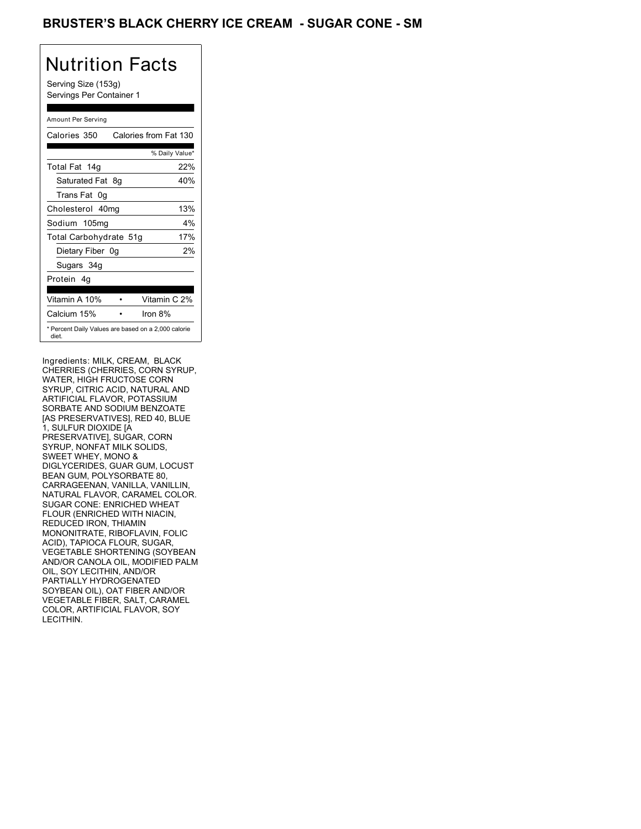## BRUSTER'S BLACK CHERRY ICE CREAM - SUGAR CONE - SM

# Nutrition Facts

Serving Size (153g) Servings Per Container 1

### Amount Per Serving

| Calories 350           | Calories from Fat 130                               |
|------------------------|-----------------------------------------------------|
|                        | % Daily Value*                                      |
| Total Fat 14g          | 22%                                                 |
| Saturated Fat 8g       | 40%                                                 |
| Trans Fat 0q           |                                                     |
| Cholesterol 40mg       | 13%                                                 |
| Sodium 105mg           | 4%                                                  |
| Total Carbohydrate 51g | 17%                                                 |
| Dietary Fiber 0g       | 2%                                                  |
| Sugars 34g             |                                                     |
| Protein 4q             |                                                     |
| Vitamin A 10%          | Vitamin C 2%                                        |
| Calcium 15%            | Iron $8\%$                                          |
| diet.                  | * Percent Daily Values are based on a 2,000 calorie |

Ingredients: MILK, CREAM, BLACK CHERRIES (CHERRIES, CORN SYRUP, WATER, HIGH FRUCTOSE CORN SYRUP, CITRIC ACID, NATURAL AND ARTIFICIAL FLAVOR, POTASSIUM SORBATE AND SODIUM BENZOATE [AS PRESERVATIVES], RED 40, BLUE 1, SULFUR DIOXIDE [A PRESERVATIVE], SUGAR, CORN SYRUP, NONFAT MILK SOLIDS, SWEET WHEY, MONO & DIGLYCERIDES, GUAR GUM, LOCUST BEAN GUM, POLYSORBATE 80, CARRAGEENAN, VANILLA, VANILLIN, NATURAL FLAVOR, CARAMEL COLOR. SUGAR CONE: ENRICHED WHEAT FLOUR (ENRICHED WITH NIACIN, REDUCED IRON, THIAMIN MONONITRATE, RIBOFLAVIN, FOLIC ACID), TAPIOCA FLOUR, SUGAR, VEGETABLE SHORTENING (SOYBEAN AND/OR CANOLA OIL, MODIFIED PALM OIL, SOY LECITHIN, AND/OR PARTIALLY HYDROGENATED SOYBEAN OIL), OAT FIBER AND/OR VEGETABLE FIBER, SALT, CARAMEL COLOR, ARTIFICIAL FLAVOR, SOY LECITHIN.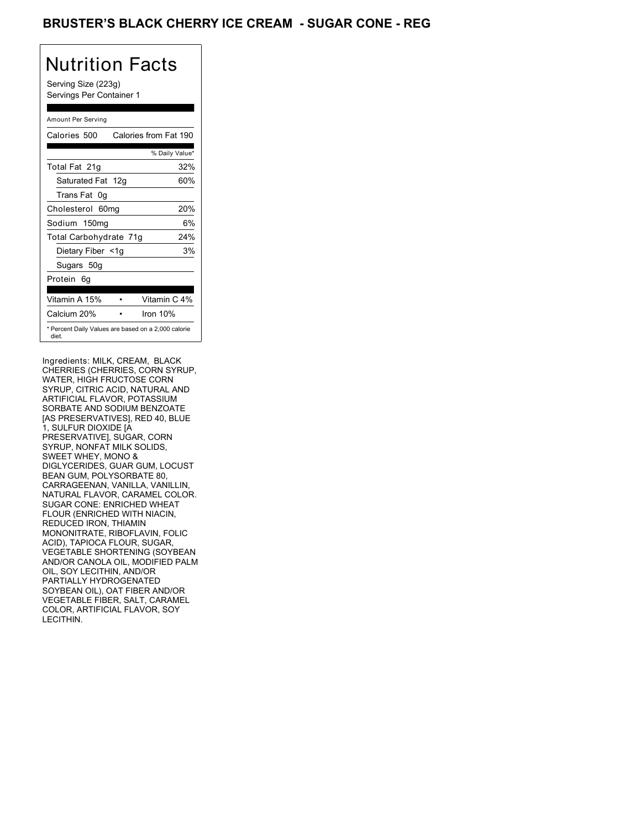## BRUSTER'S BLACK CHERRY ICE CREAM - SUGAR CONE - REG

# Nutrition Facts

Serving Size (223g) Servings Per Container 1

### Amount Per Serving

| Calories 500           | Calories from Fat 190                               |
|------------------------|-----------------------------------------------------|
|                        | % Daily Value*                                      |
| Total Fat 21q          | 32%                                                 |
| Saturated Fat 12g      | 60%                                                 |
| Trans Fat 0q           |                                                     |
| Cholesterol 60mg       | 20%                                                 |
| Sodium 150mg           | 6%                                                  |
| Total Carbohydrate 71g | 24%                                                 |
| Dietary Fiber <1g      | 3%                                                  |
| Sugars 50g             |                                                     |
| Protein 6q             |                                                     |
|                        |                                                     |
| Vitamin A 15%          | Vitamin C 4%                                        |
| Calcium 20%            | Iron $10%$                                          |
| diet.                  | * Percent Daily Values are based on a 2,000 calorie |

Ingredients: MILK, CREAM, BLACK CHERRIES (CHERRIES, CORN SYRUP, WATER, HIGH FRUCTOSE CORN SYRUP, CITRIC ACID, NATURAL AND ARTIFICIAL FLAVOR, POTASSIUM SORBATE AND SODIUM BENZOATE [AS PRESERVATIVES], RED 40, BLUE 1, SULFUR DIOXIDE [A PRESERVATIVE], SUGAR, CORN SYRUP, NONFAT MILK SOLIDS, SWEET WHEY, MONO & DIGLYCERIDES, GUAR GUM, LOCUST BEAN GUM, POLYSORBATE 80, CARRAGEENAN, VANILLA, VANILLIN, NATURAL FLAVOR, CARAMEL COLOR. SUGAR CONE: ENRICHED WHEAT FLOUR (ENRICHED WITH NIACIN, REDUCED IRON, THIAMIN MONONITRATE, RIBOFLAVIN, FOLIC ACID), TAPIOCA FLOUR, SUGAR, VEGETABLE SHORTENING (SOYBEAN AND/OR CANOLA OIL, MODIFIED PALM OIL, SOY LECITHIN, AND/OR PARTIALLY HYDROGENATED SOYBEAN OIL), OAT FIBER AND/OR VEGETABLE FIBER, SALT, CARAMEL COLOR, ARTIFICIAL FLAVOR, SOY LECITHIN.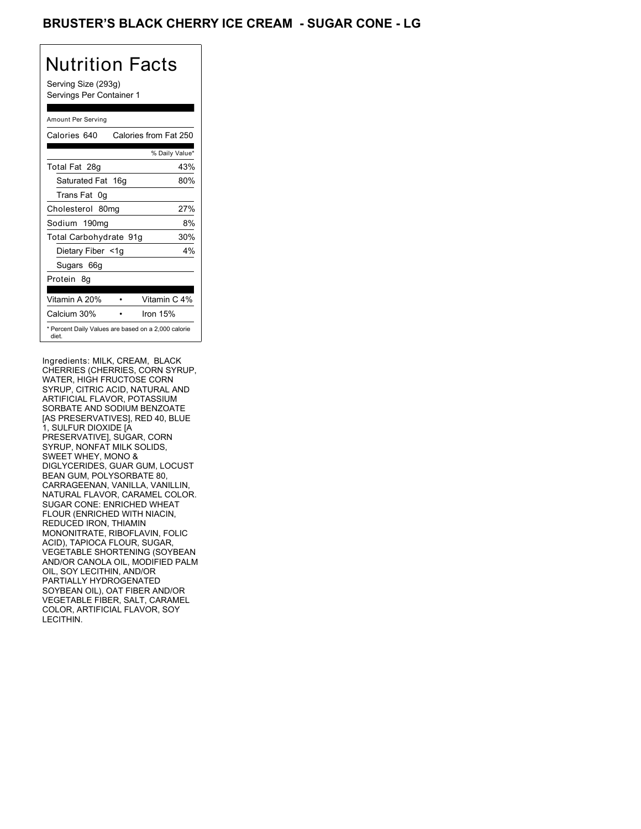## BRUSTER'S BLACK CHERRY ICE CREAM - SUGAR CONE - LG

# Nutrition Facts

Serving Size (293g) Servings Per Container 1

### Amount Per Serving

| Calories 640                                                 | Calories from Fat 250 |
|--------------------------------------------------------------|-----------------------|
|                                                              | % Daily Value*        |
| Total Fat 28g                                                | 43%                   |
| Saturated Fat 16g                                            | 80%                   |
| Trans Fat 0q                                                 |                       |
| Cholesterol 80mg                                             | 27%                   |
| Sodium 190mg                                                 | 8%                    |
| Total Carbohydrate 91g                                       | 30%                   |
| Dietary Fiber <1g                                            | 4%                    |
| Sugars 66g                                                   |                       |
| Protein 8q                                                   |                       |
| Vitamin A 20%                                                | Vitamin C 4%          |
| Calcium 30%                                                  | Iron $15%$            |
| * Percent Daily Values are based on a 2,000 calorie<br>diet. |                       |

Ingredients: MILK, CREAM, BLACK CHERRIES (CHERRIES, CORN SYRUP, WATER, HIGH FRUCTOSE CORN SYRUP, CITRIC ACID, NATURAL AND ARTIFICIAL FLAVOR, POTASSIUM SORBATE AND SODIUM BENZOATE [AS PRESERVATIVES], RED 40, BLUE 1, SULFUR DIOXIDE [A PRESERVATIVE], SUGAR, CORN SYRUP, NONFAT MILK SOLIDS, SWEET WHEY, MONO & DIGLYCERIDES, GUAR GUM, LOCUST BEAN GUM, POLYSORBATE 80, CARRAGEENAN, VANILLA, VANILLIN, NATURAL FLAVOR, CARAMEL COLOR. SUGAR CONE: ENRICHED WHEAT FLOUR (ENRICHED WITH NIACIN, REDUCED IRON, THIAMIN MONONITRATE, RIBOFLAVIN, FOLIC ACID), TAPIOCA FLOUR, SUGAR, VEGETABLE SHORTENING (SOYBEAN AND/OR CANOLA OIL, MODIFIED PALM OIL, SOY LECITHIN, AND/OR PARTIALLY HYDROGENATED SOYBEAN OIL), OAT FIBER AND/OR VEGETABLE FIBER, SALT, CARAMEL COLOR, ARTIFICIAL FLAVOR, SOY LECITHIN.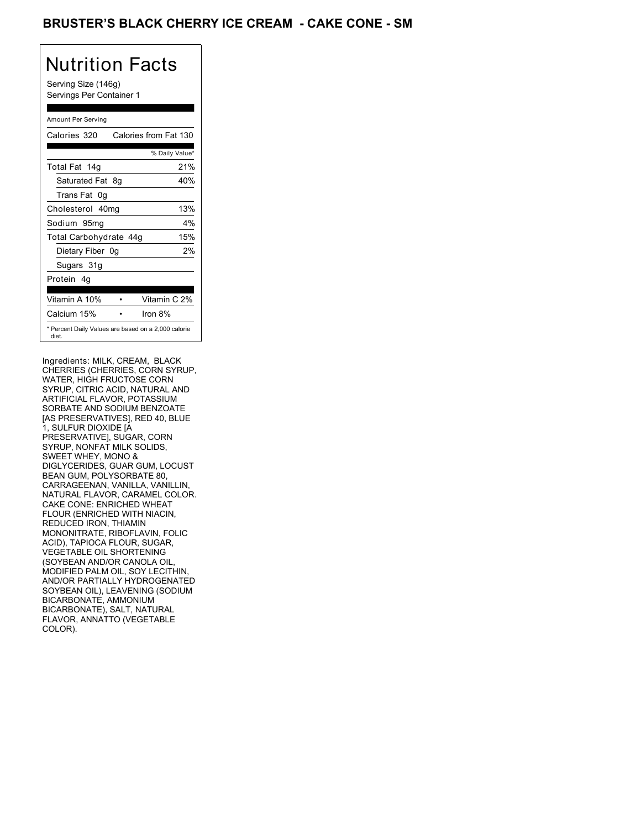## BRUSTER'S BLACK CHERRY ICE CREAM - CAKE CONE - SM

## Nutrition Facts

Serving Size (146g) Servings Per Container 1

### Amount Per Serving

| Calories 320           |    | Calories from Fat 130                               |
|------------------------|----|-----------------------------------------------------|
|                        |    | % Daily Value*                                      |
| Total Fat 14g          |    | 21%                                                 |
| Saturated Fat          | 8g | 40%                                                 |
| Trans Fat 0q           |    |                                                     |
| Cholesterol 40mg       |    | 13%                                                 |
| Sodium 95mg            |    | $4\%$                                               |
| Total Carbohydrate 44g |    | 15%                                                 |
| Dietary Fiber 0g       |    | 2%                                                  |
| Sugars 31g             |    |                                                     |
| Protein 4q             |    |                                                     |
| Vitamin A 10%          |    | Vitamin C 2%                                        |
| Calcium 15%            |    | Iron $8\%$                                          |
| diet.                  |    | * Percent Daily Values are based on a 2,000 calorie |

Ingredients: MILK, CREAM, BLACK CHERRIES (CHERRIES, CORN SYRUP, WATER, HIGH FRUCTOSE CORN SYRUP, CITRIC ACID, NATURAL AND ARTIFICIAL FLAVOR, POTASSIUM SORBATE AND SODIUM BENZOATE [AS PRESERVATIVES], RED 40, BLUE 1, SULFUR DIOXIDE [A PRESERVATIVE], SUGAR, CORN SYRUP, NONFAT MILK SOLIDS, SWEET WHEY, MONO & DIGLYCERIDES, GUAR GUM, LOCUST BEAN GUM, POLYSORBATE 80, CARRAGEENAN, VANILLA, VANILLIN, NATURAL FLAVOR, CARAMEL COLOR. CAKE CONE: ENRICHED WHEAT FLOUR (ENRICHED WITH NIACIN, REDUCED IRON, THIAMIN MONONITRATE, RIBOFLAVIN, FOLIC ACID), TAPIOCA FLOUR, SUGAR, VEGETABLE OIL SHORTENING (SOYBEAN AND/OR CANOLA OIL, MODIFIED PALM OIL, SOY LECITHIN, AND/OR PARTIALLY HYDROGENATED SOYBEAN OIL), LEAVENING (SODIUM BICARBONATE, AMMONIUM BICARBONATE), SALT, NATURAL FLAVOR, ANNATTO (VEGETABLE COLOR).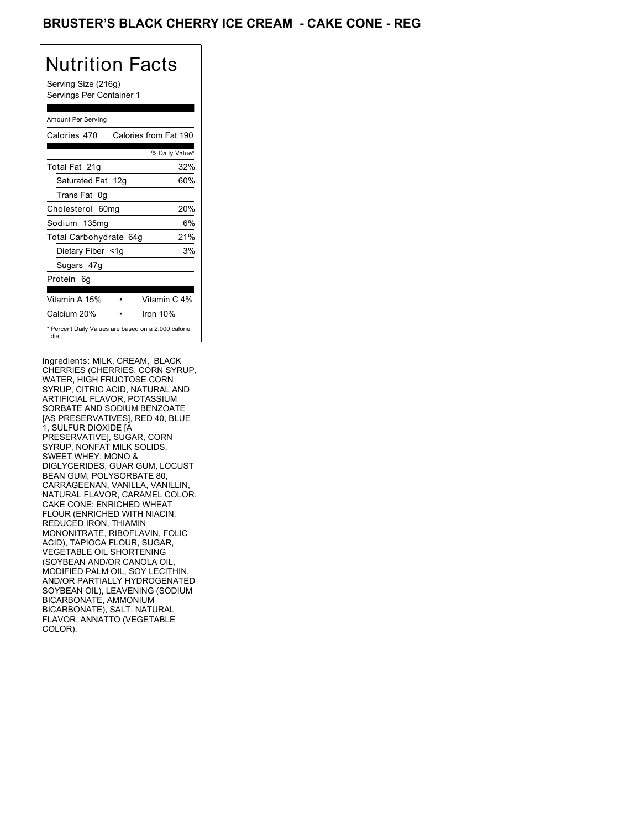## BRUSTER'S BLACK CHERRY ICE CREAM **- CAKE CONE - REG**

## Nutrition Facts

Serving Size (216g) Servings Per Container 1

### Amount Per Serving

| Calories 470                                                 | Calories from Fat 190 |
|--------------------------------------------------------------|-----------------------|
|                                                              | % Daily Value*        |
| Total Fat 21g                                                | 32%                   |
| Saturated Fat 12g                                            | 60%                   |
| Trans Fat 0q                                                 |                       |
| Cholesterol 60mg                                             | 20%                   |
| Sodium 135mg                                                 | 6%                    |
| Total Carbohydrate 64g                                       | 21%                   |
| Dietary Fiber <1g                                            | 3%                    |
| Sugars 47g                                                   |                       |
| Protein 6q                                                   |                       |
| Vitamin A 15%                                                | Vitamin C 4%          |
| Calcium 20%                                                  | Iron $10%$            |
| * Percent Daily Values are based on a 2,000 calorie<br>diet. |                       |

Ingredients: MILK, CREAM, BLACK CHERRIES (CHERRIES, CORN SYRUP, WATER, HIGH FRUCTOSE CORN SYRUP, CITRIC ACID, NATURAL AND ARTIFICIAL FLAVOR, POTASSIUM SORBATE AND SODIUM BENZOATE [AS PRESERVATIVES], RED 40, BLUE 1, SULFUR DIOXIDE [A PRESERVATIVE], SUGAR, CORN SYRUP, NONFAT MILK SOLIDS, SWEET WHEY, MONO & DIGLYCERIDES, GUAR GUM, LOCUST BEAN GUM, POLYSORBATE 80, CARRAGEENAN, VANILLA, VANILLIN, NATURAL FLAVOR, CARAMEL COLOR. CAKE CONE: ENRICHED WHEAT FLOUR (ENRICHED WITH NIACIN, REDUCED IRON, THIAMIN MONONITRATE, RIBOFLAVIN, FOLIC ACID), TAPIOCA FLOUR, SUGAR, VEGETABLE OIL SHORTENING (SOYBEAN AND/OR CANOLA OIL, MODIFIED PALM OIL, SOY LECITHIN, AND/OR PARTIALLY HYDROGENATED SOYBEAN OIL), LEAVENING (SODIUM BICARBONATE, AMMONIUM BICARBONATE), SALT, NATURAL FLAVOR, ANNATTO (VEGETABLE COLOR).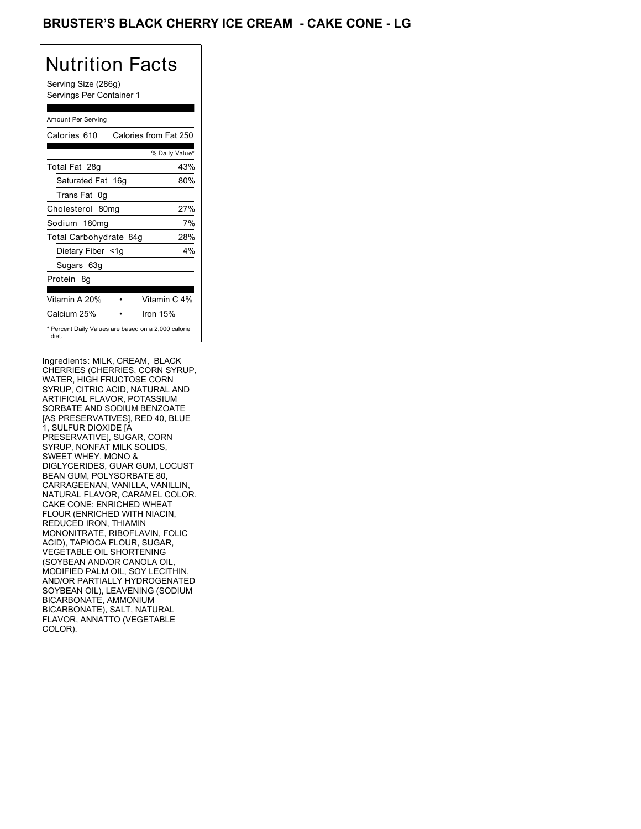## BRUSTER'S BLACK CHERRY ICE CREAM **- CAKE CONE - LG**

# Nutrition Facts

Serving Size (286g) Servings Per Container 1

### Amount Per Serving

| Calories 610                                                 | Calories from Fat 250 |
|--------------------------------------------------------------|-----------------------|
|                                                              | % Daily Value*        |
| Total Fat 28g                                                | 43%                   |
| Saturated Fat 16g                                            | 80%                   |
| Trans Fat 0q                                                 |                       |
| Cholesterol 80mg                                             | 27%                   |
| Sodium 180mg                                                 | 7%                    |
| Total Carbohydrate 84g                                       | 28%                   |
| Dietary Fiber <1g                                            | $4\%$                 |
| Sugars 63g                                                   |                       |
| Protein 8q                                                   |                       |
| Vitamin A 20%                                                | Vitamin C 4%          |
| Calcium 25%                                                  | Iron $15%$            |
| * Percent Daily Values are based on a 2,000 calorie<br>diet. |                       |

Ingredients: MILK, CREAM, BLACK CHERRIES (CHERRIES, CORN SYRUP, WATER, HIGH FRUCTOSE CORN SYRUP, CITRIC ACID, NATURAL AND ARTIFICIAL FLAVOR, POTASSIUM SORBATE AND SODIUM BENZOATE [AS PRESERVATIVES], RED 40, BLUE 1, SULFUR DIOXIDE [A PRESERVATIVE], SUGAR, CORN SYRUP, NONFAT MILK SOLIDS, SWEET WHEY, MONO & DIGLYCERIDES, GUAR GUM, LOCUST BEAN GUM, POLYSORBATE 80, CARRAGEENAN, VANILLA, VANILLIN, NATURAL FLAVOR, CARAMEL COLOR. CAKE CONE: ENRICHED WHEAT FLOUR (ENRICHED WITH NIACIN, REDUCED IRON, THIAMIN MONONITRATE, RIBOFLAVIN, FOLIC ACID), TAPIOCA FLOUR, SUGAR, VEGETABLE OIL SHORTENING (SOYBEAN AND/OR CANOLA OIL, MODIFIED PALM OIL, SOY LECITHIN, AND/OR PARTIALLY HYDROGENATED SOYBEAN OIL), LEAVENING (SODIUM BICARBONATE, AMMONIUM BICARBONATE), SALT, NATURAL FLAVOR, ANNATTO (VEGETABLE COLOR).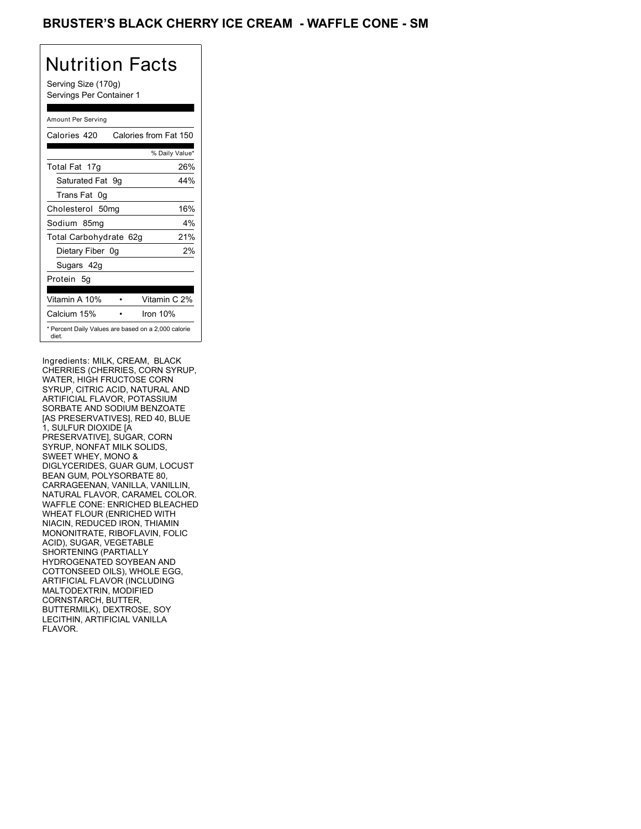## BRUSTER'S BLACK CHERRY ICE CREAM - WAFFLE CONE - SM

# Nutrition Facts

Serving Size (170g) Servings Per Container 1

### Amount Per Serving

| Calories 420           | Calories from Fat 150                               |
|------------------------|-----------------------------------------------------|
|                        | % Daily Value*                                      |
| Total Fat 17g          | 26%                                                 |
| Saturated Fat 9g       | 44%                                                 |
| Trans Fat 0q           |                                                     |
| Cholesterol 50mg       | 16%                                                 |
| Sodium 85mg            | 4%                                                  |
| Total Carbohydrate 62g | 21%                                                 |
| Dietary Fiber 0g       | 2%                                                  |
| Sugars 42g             |                                                     |
| Protein 5q             |                                                     |
| Vitamin A 10%          | Vitamin C 2%                                        |
| Calcium 15%            | Iron $10%$                                          |
| diet.                  | * Percent Daily Values are based on a 2,000 calorie |

Ingredients: MILK, CREAM, BLACK CHERRIES (CHERRIES, CORN SYRUP, WATER, HIGH FRUCTOSE CORN SYRUP, CITRIC ACID, NATURAL AND ARTIFICIAL FLAVOR, POTASSIUM SORBATE AND SODIUM BENZOATE [AS PRESERVATIVES], RED 40, BLUE 1, SULFUR DIOXIDE [A PRESERVATIVE], SUGAR, CORN SYRUP, NONFAT MILK SOLIDS, SWEET WHEY, MONO & DIGLYCERIDES, GUAR GUM, LOCUST BEAN GUM, POLYSORBATE 80, CARRAGEENAN, VANILLA, VANILLIN, NATURAL FLAVOR, CARAMEL COLOR. WAFFLE CONE: ENRICHED BLEACHED WHEAT FLOUR (ENRICHED WITH NIACIN, REDUCED IRON, THIAMIN MONONITRATE, RIBOFLAVIN, FOLIC ACID), SUGAR, VEGETABLE SHORTENING (PARTIALLY HYDROGENATED SOYBEAN AND COTTONSEED OILS), WHOLE EGG, ARTIFICIAL FLAVOR (INCLUDING MALTODEXTRIN, MODIFIED CORNSTARCH, BUTTER, BUTTERMILK), DEXTROSE, SOY LECITHIN, ARTIFICIAL VANILLA FLAVOR.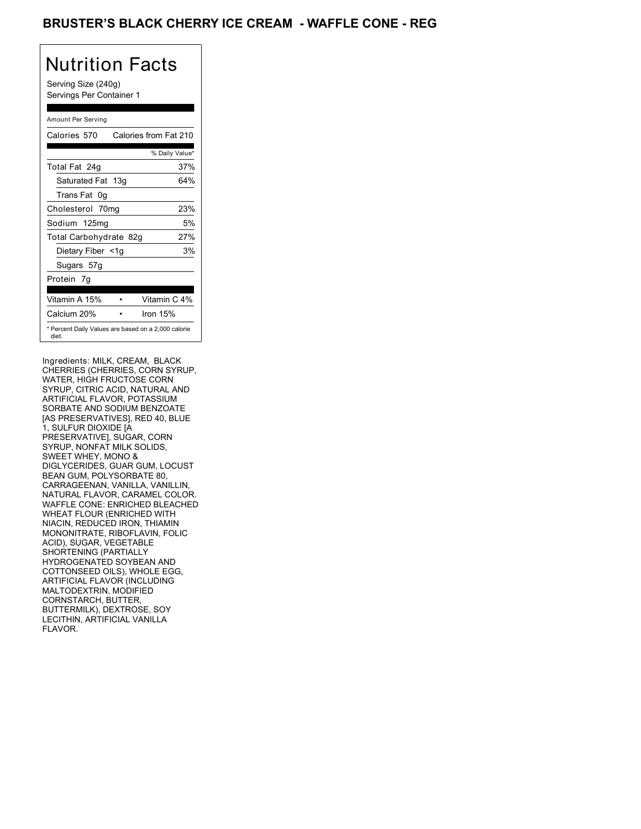## BRUSTER'S BLACK CHERRY ICE CREAM - WAFFLE CONE - REG

# Nutrition Facts

Serving Size (240g) Servings Per Container 1

### Amount Per Serving

| Calories 570                                                 | Calories from Fat 210 |
|--------------------------------------------------------------|-----------------------|
|                                                              | % Daily Value*        |
| Total Fat 24g                                                | 37%                   |
| Saturated Fat 13g                                            | 64%                   |
| Trans Fat 0q                                                 |                       |
| Cholesterol 70mg                                             | 23%                   |
| Sodium 125mg                                                 | 5%                    |
| Total Carbohydrate 82g                                       | 27%                   |
| Dietary Fiber <1g                                            | 3%                    |
| Sugars 57g                                                   |                       |
| Protein 7q                                                   |                       |
| Vitamin A 15%                                                | Vitamin C 4%          |
| Calcium 20%                                                  | Iron $15%$            |
| * Percent Daily Values are based on a 2,000 calorie<br>diet. |                       |

Ingredients: MILK, CREAM, BLACK CHERRIES (CHERRIES, CORN SYRUP, WATER, HIGH FRUCTOSE CORN SYRUP, CITRIC ACID, NATURAL AND ARTIFICIAL FLAVOR, POTASSIUM SORBATE AND SODIUM BENZOATE [AS PRESERVATIVES], RED 40, BLUE 1, SULFUR DIOXIDE [A PRESERVATIVE], SUGAR, CORN SYRUP, NONFAT MILK SOLIDS, SWEET WHEY, MONO & DIGLYCERIDES, GUAR GUM, LOCUST BEAN GUM, POLYSORBATE 80, CARRAGEENAN, VANILLA, VANILLIN, NATURAL FLAVOR, CARAMEL COLOR. WAFFLE CONE: ENRICHED BLEACHED WHEAT FLOUR (ENRICHED WITH NIACIN, REDUCED IRON, THIAMIN MONONITRATE, RIBOFLAVIN, FOLIC ACID), SUGAR, VEGETABLE SHORTENING (PARTIALLY HYDROGENATED SOYBEAN AND COTTONSEED OILS), WHOLE EGG, ARTIFICIAL FLAVOR (INCLUDING MALTODEXTRIN, MODIFIED CORNSTARCH, BUTTER, BUTTERMILK), DEXTROSE, SOY LECITHIN, ARTIFICIAL VANILLA FLAVOR.